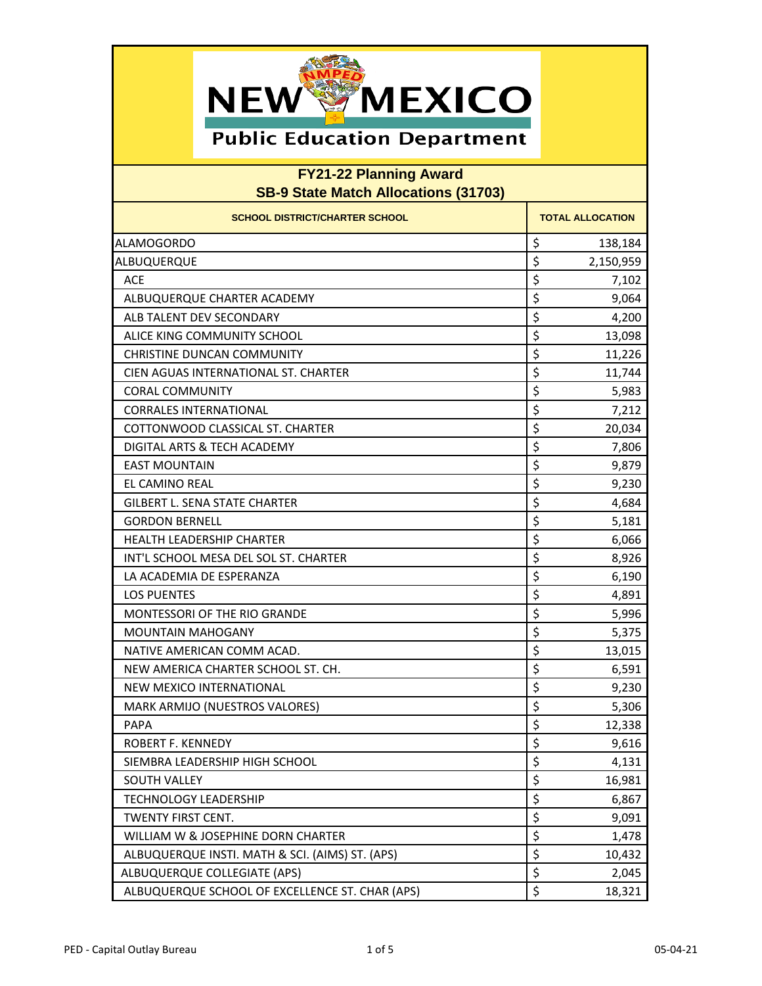

| <b>SCHOOL DISTRICT/CHARTER SCHOOL</b>           | <b>TOTAL ALLOCATION</b> |
|-------------------------------------------------|-------------------------|
| <b>ALAMOGORDO</b>                               | \$<br>138,184           |
| ALBUQUERQUE                                     | \$<br>2,150,959         |
| <b>ACE</b>                                      | \$<br>7,102             |
| ALBUQUERQUE CHARTER ACADEMY                     | \$<br>9,064             |
| ALB TALENT DEV SECONDARY                        | \$<br>4,200             |
| ALICE KING COMMUNITY SCHOOL                     | \$<br>13,098            |
| <b>CHRISTINE DUNCAN COMMUNITY</b>               | \$<br>11,226            |
| CIEN AGUAS INTERNATIONAL ST. CHARTER            | \$<br>11,744            |
| <b>CORAL COMMUNITY</b>                          | \$<br>5,983             |
| <b>CORRALES INTERNATIONAL</b>                   | \$<br>7,212             |
| COTTONWOOD CLASSICAL ST. CHARTER                | \$<br>20,034            |
| DIGITAL ARTS & TECH ACADEMY                     | \$<br>7,806             |
| <b>EAST MOUNTAIN</b>                            | \$<br>9,879             |
| EL CAMINO REAL                                  | \$<br>9,230             |
| <b>GILBERT L. SENA STATE CHARTER</b>            | \$<br>4,684             |
| <b>GORDON BERNELL</b>                           | \$<br>5,181             |
| <b>HEALTH LEADERSHIP CHARTER</b>                | \$<br>6,066             |
| INT'L SCHOOL MESA DEL SOL ST. CHARTER           | \$<br>8,926             |
| LA ACADEMIA DE ESPERANZA                        | \$<br>6,190             |
| <b>LOS PUENTES</b>                              | \$<br>4,891             |
| <b>MONTESSORI OF THE RIO GRANDE</b>             | \$<br>5,996             |
| <b>MOUNTAIN MAHOGANY</b>                        | \$<br>5,375             |
| NATIVE AMERICAN COMM ACAD.                      | \$<br>13,015            |
| NEW AMERICA CHARTER SCHOOL ST. CH.              | \$<br>6,591             |
| NEW MEXICO INTERNATIONAL                        | \$<br>9,230             |
| MARK ARMIJO (NUESTROS VALORES)                  | \$<br>5,306             |
| <b>PAPA</b>                                     | \$<br>12,338            |
| ROBERT F. KENNEDY                               | \$<br>9,616             |
| SIEMBRA LEADERSHIP HIGH SCHOOL                  | Ś<br>4,131              |
| <b>SOUTH VALLEY</b>                             | \$<br>16,981            |
| <b>TECHNOLOGY LEADERSHIP</b>                    | \$<br>6,867             |
| TWENTY FIRST CENT.                              | \$<br>9,091             |
| WILLIAM W & JOSEPHINE DORN CHARTER              | \$<br>1,478             |
| ALBUQUERQUE INSTI. MATH & SCI. (AIMS) ST. (APS) | \$<br>10,432            |
| ALBUQUERQUE COLLEGIATE (APS)                    | \$<br>2,045             |
| ALBUQUERQUE SCHOOL OF EXCELLENCE ST. CHAR (APS) | \$<br>18,321            |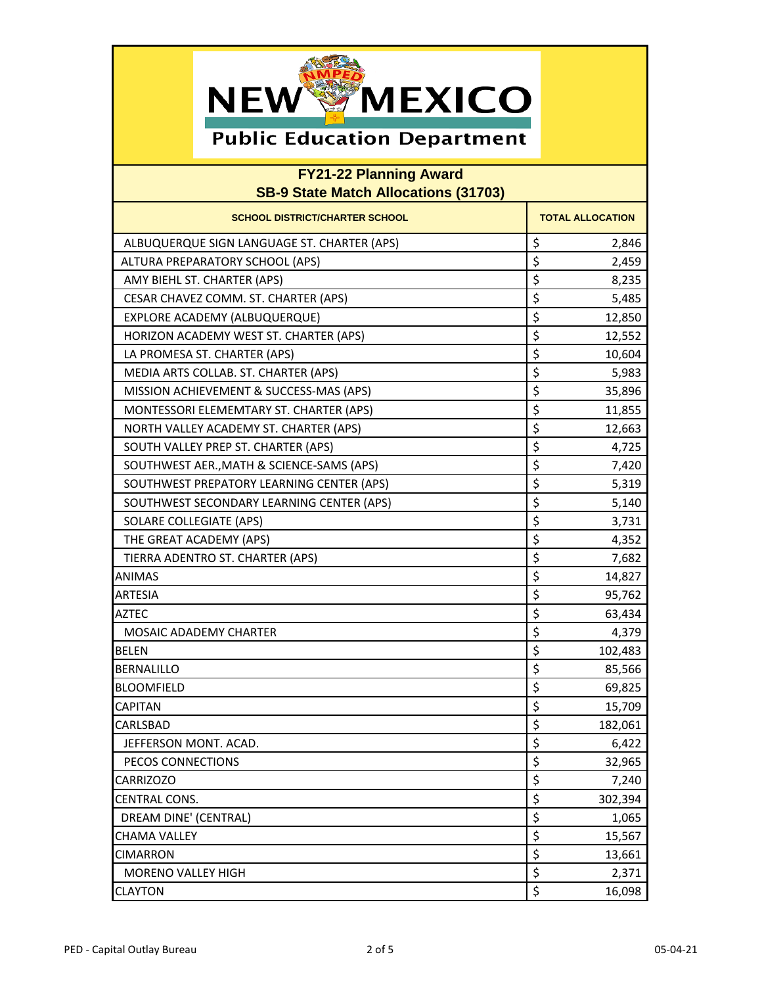

| <b>SCHOOL DISTRICT/CHARTER SCHOOL</b>       | <b>TOTAL ALLOCATION</b> |
|---------------------------------------------|-------------------------|
| ALBUQUERQUE SIGN LANGUAGE ST. CHARTER (APS) | \$<br>2,846             |
| ALTURA PREPARATORY SCHOOL (APS)             | \$<br>2,459             |
| AMY BIEHL ST. CHARTER (APS)                 | \$<br>8,235             |
| CESAR CHAVEZ COMM. ST. CHARTER (APS)        | \$<br>5,485             |
| <b>EXPLORE ACADEMY (ALBUQUERQUE)</b>        | \$<br>12,850            |
| HORIZON ACADEMY WEST ST. CHARTER (APS)      | \$<br>12,552            |
| LA PROMESA ST. CHARTER (APS)                | \$<br>10,604            |
| MEDIA ARTS COLLAB. ST. CHARTER (APS)        | \$<br>5,983             |
| MISSION ACHIEVEMENT & SUCCESS-MAS (APS)     | \$<br>35,896            |
| MONTESSORI ELEMEMTARY ST. CHARTER (APS)     | \$<br>11,855            |
| NORTH VALLEY ACADEMY ST. CHARTER (APS)      | \$<br>12,663            |
| SOUTH VALLEY PREP ST. CHARTER (APS)         | \$<br>4,725             |
| SOUTHWEST AER., MATH & SCIENCE-SAMS (APS)   | \$<br>7,420             |
| SOUTHWEST PREPATORY LEARNING CENTER (APS)   | \$<br>5,319             |
| SOUTHWEST SECONDARY LEARNING CENTER (APS)   | \$<br>5,140             |
| <b>SOLARE COLLEGIATE (APS)</b>              | \$<br>3,731             |
| THE GREAT ACADEMY (APS)                     | \$<br>4,352             |
| TIERRA ADENTRO ST. CHARTER (APS)            | \$<br>7,682             |
| <b>ANIMAS</b>                               | \$<br>14,827            |
| <b>ARTESIA</b>                              | \$<br>95,762            |
| <b>AZTEC</b>                                | \$<br>63,434            |
| <b>MOSAIC ADADEMY CHARTER</b>               | \$<br>4,379             |
| <b>BELEN</b>                                | \$<br>102,483           |
| <b>BERNALILLO</b>                           | \$<br>85,566            |
| <b>BLOOMFIELD</b>                           | \$<br>69,825            |
| <b>CAPITAN</b>                              | \$<br>15,709            |
| CARLSBAD                                    | \$<br>182,061           |
| JEFFERSON MONT. ACAD.                       | \$<br>6,422             |
| PECOS CONNECTIONS                           | $\zeta$<br>32,965       |
| <b>CARRIZOZO</b>                            | \$<br>7,240             |
| CENTRAL CONS.                               | \$<br>302,394           |
| DREAM DINE' (CENTRAL)                       | \$<br>1,065             |
| <b>CHAMA VALLEY</b>                         | \$<br>15,567            |
| <b>CIMARRON</b>                             | \$<br>13,661            |
| <b>MORENO VALLEY HIGH</b>                   | \$<br>2,371             |
| <b>CLAYTON</b>                              | \$<br>16,098            |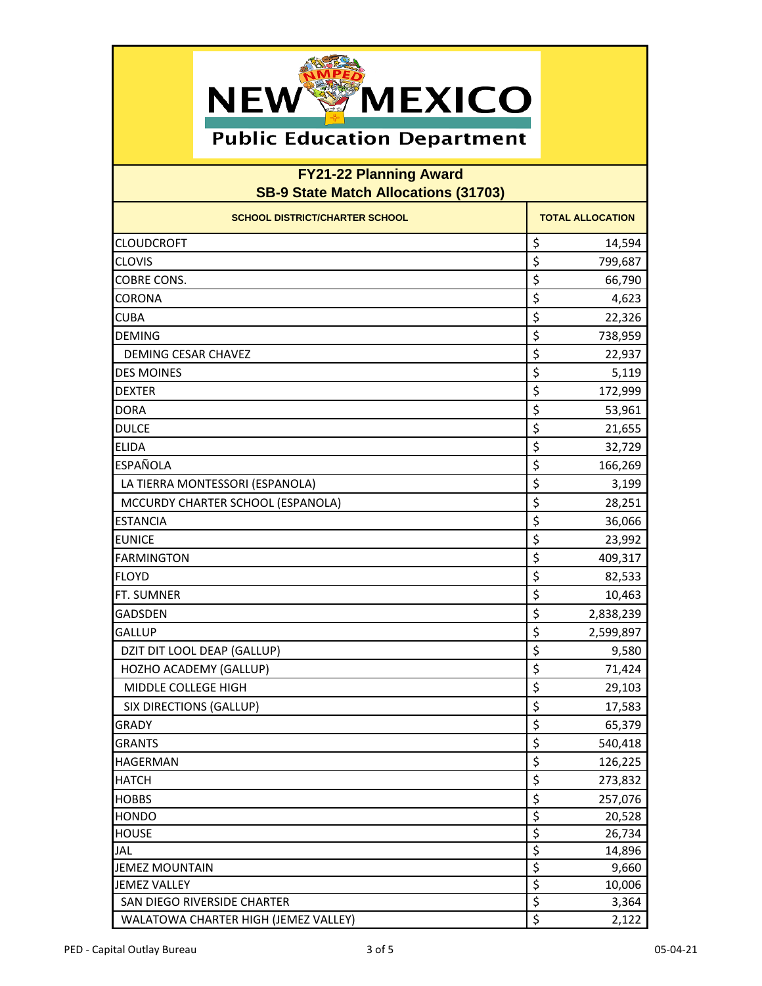

| <b>SCHOOL DISTRICT/CHARTER SCHOOL</b> | <b>TOTAL ALLOCATION</b>          |
|---------------------------------------|----------------------------------|
| <b>CLOUDCROFT</b>                     | \$<br>14,594                     |
| <b>CLOVIS</b>                         | \$<br>799,687                    |
| <b>COBRE CONS.</b>                    | \$<br>66,790                     |
| <b>CORONA</b>                         | \$<br>4,623                      |
| <b>CUBA</b>                           | \$<br>22,326                     |
| <b>DEMING</b>                         | \$<br>738,959                    |
| DEMING CESAR CHAVEZ                   | \$<br>22,937                     |
| <b>DES MOINES</b>                     | \$<br>5,119                      |
| <b>DEXTER</b>                         | \$<br>172,999                    |
| <b>DORA</b>                           | \$<br>53,961                     |
| <b>DULCE</b>                          | \$<br>21,655                     |
| <b>ELIDA</b>                          | \$<br>32,729                     |
| <b>ESPAÑOLA</b>                       | \$<br>166,269                    |
| LA TIERRA MONTESSORI (ESPANOLA)       | \$<br>3,199                      |
| MCCURDY CHARTER SCHOOL (ESPANOLA)     | \$<br>28,251                     |
| <b>ESTANCIA</b>                       | \$<br>36,066                     |
| <b>EUNICE</b>                         | \$<br>23,992                     |
| <b>FARMINGTON</b>                     | \$<br>409,317                    |
| <b>FLOYD</b>                          | \$<br>82,533                     |
| FT. SUMNER                            | \$<br>10,463                     |
| <b>GADSDEN</b>                        | \$<br>2,838,239                  |
| <b>GALLUP</b>                         | \$<br>2,599,897                  |
| DZIT DIT LOOL DEAP (GALLUP)           | \$<br>9,580                      |
| HOZHO ACADEMY (GALLUP)                | \$<br>71,424                     |
| MIDDLE COLLEGE HIGH                   | \$<br>29,103                     |
| SIX DIRECTIONS (GALLUP)               | \$<br>17,583                     |
| <b>GRADY</b>                          | \$<br>65,379                     |
| <b>GRANTS</b>                         | \$<br>540,418                    |
| <b>HAGERMAN</b>                       | $\zeta$<br>126,225               |
| <b>HATCH</b>                          | \$<br>273,832                    |
| <b>HOBBS</b>                          | \$<br>257,076                    |
| <b>HONDO</b>                          | $\overline{\xi}$<br>20,528       |
| <b>HOUSE</b>                          | $\overline{\xi}$<br>26,734       |
| <b>JAL</b>                            | $\overline{\xi}$<br>14,896       |
| <b>JEMEZ MOUNTAIN</b>                 | $\overline{\xi}$<br>9,660        |
| <b>JEMEZ VALLEY</b>                   | $\overline{\varsigma}$<br>10,006 |
| SAN DIEGO RIVERSIDE CHARTER           | $\overline{\xi}$<br>3,364        |
| WALATOWA CHARTER HIGH (JEMEZ VALLEY)  | \$<br>2,122                      |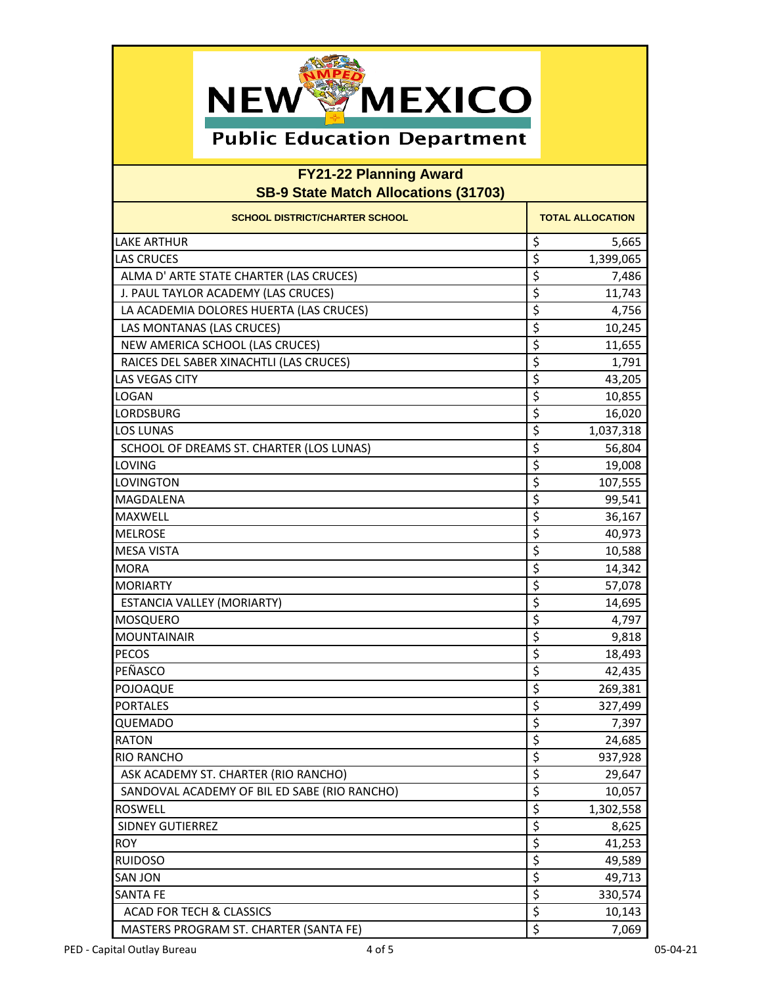

| <b>SCHOOL DISTRICT/CHARTER SCHOOL</b>        | <b>TOTAL ALLOCATION</b>              |
|----------------------------------------------|--------------------------------------|
| <b>LAKE ARTHUR</b>                           | \$<br>5,665                          |
| <b>LAS CRUCES</b>                            | $\overline{\mathsf{S}}$<br>1,399,065 |
| ALMA D' ARTE STATE CHARTER (LAS CRUCES)      | \$<br>7,486                          |
| J. PAUL TAYLOR ACADEMY (LAS CRUCES)          | \$<br>11,743                         |
| LA ACADEMIA DOLORES HUERTA (LAS CRUCES)      | \$<br>4,756                          |
| LAS MONTANAS (LAS CRUCES)                    | \$<br>10,245                         |
| NEW AMERICA SCHOOL (LAS CRUCES)              | \$<br>11,655                         |
| RAICES DEL SABER XINACHTLI (LAS CRUCES)      | \$<br>1,791                          |
| <b>LAS VEGAS CITY</b>                        | \$<br>43,205                         |
| LOGAN                                        | \$<br>10,855                         |
| <b>LORDSBURG</b>                             | \$<br>16,020                         |
| <b>LOS LUNAS</b>                             | \$<br>1,037,318                      |
| SCHOOL OF DREAMS ST. CHARTER (LOS LUNAS)     | \$<br>56,804                         |
| LOVING                                       | \$<br>19,008                         |
| <b>LOVINGTON</b>                             | \$<br>107,555                        |
| <b>MAGDALENA</b>                             | \$<br>99,541                         |
| <b>MAXWELL</b>                               | \$<br>36,167                         |
| <b>MELROSE</b>                               | \$<br>40,973                         |
| <b>MESA VISTA</b>                            | \$<br>10,588                         |
| <b>MORA</b>                                  | \$<br>14,342                         |
| <b>MORIARTY</b>                              | \$<br>57,078                         |
| ESTANCIA VALLEY (MORIARTY)                   | \$<br>14,695                         |
| <b>MOSQUERO</b>                              | \$<br>4,797                          |
| <b>MOUNTAINAIR</b>                           | \$<br>9,818                          |
| <b>PECOS</b>                                 | \$<br>18,493                         |
| PEÑASCO                                      | \$<br>42,435                         |
| POJOAQUE                                     | \$<br>269,381                        |
| <b>PORTALES</b>                              | \$<br>327,499                        |
| <b>QUEMADO</b>                               | \$<br>7,397                          |
| <b>RATON</b>                                 | \$<br>24,685                         |
| <b>RIO RANCHO</b>                            | \$<br>937,928                        |
| ASK ACADEMY ST. CHARTER (RIO RANCHO)         | \$<br>29,647                         |
| SANDOVAL ACADEMY OF BIL ED SABE (RIO RANCHO) | \$<br>10,057                         |
| <b>ROSWELL</b>                               | \$<br>1,302,558                      |
| SIDNEY GUTIERREZ                             | \$<br>8,625                          |
| <b>ROY</b>                                   | \$<br>41,253                         |
| <b>RUIDOSO</b>                               | $\overline{\mathcal{S}}$<br>49,589   |
| <b>SAN JON</b>                               | \$<br>49,713                         |
| <b>SANTA FE</b>                              | \$<br>330,574                        |
| <b>ACAD FOR TECH &amp; CLASSICS</b>          | \$<br>10,143                         |
| MASTERS PROGRAM ST. CHARTER (SANTA FE)       | \$<br>7,069                          |